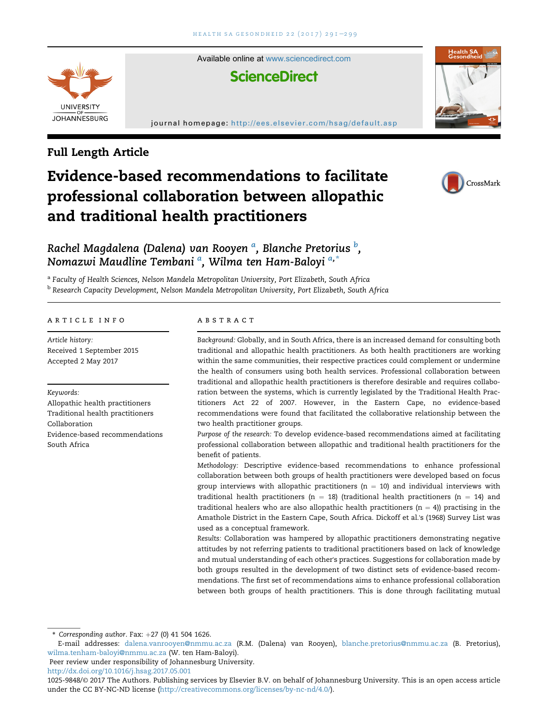Available online at [www.sciencedirect.com](www.sciencedirect.com/science/journal/10259848)

# **ScienceDirect**

# journal homepage: http://ees.elsevier.com/hsag/default.asp

# Full Length Article

# Evidence-based recommendations to facilitate professional collaboration between allopathic and traditional health practitioners



# Rachel Magdalena (Dalena) van Rooyen <sup>a</sup>, Blanche Pretorius <sup>b</sup>, Nomazwi Maudline Tembani <sup>a</sup>, Wilma ten Ham-Baloyi <sup>a,\*</sup>

a Faculty of Health Sciences, Nelson Mandela Metropolitan University, Port Elizabeth, South Africa <sup>b</sup> Research Capacity Development, Nelson Mandela Metropolitan University, Port Elizabeth, South Africa

# article info

Article history: Received 1 September 2015 Accepted 2 May 2017

#### Keywords:

Allopathic health practitioners Traditional health practitioners Collaboration Evidence-based recommendations South Africa

# **ABSTRACT**

Background: Globally, and in South Africa, there is an increased demand for consulting both traditional and allopathic health practitioners. As both health practitioners are working within the same communities, their respective practices could complement or undermine the health of consumers using both health services. Professional collaboration between traditional and allopathic health practitioners is therefore desirable and requires collaboration between the systems, which is currently legislated by the Traditional Health Practitioners Act 22 of 2007. However, in the Eastern Cape, no evidence-based recommendations were found that facilitated the collaborative relationship between the two health practitioner groups.

Purpose of the research: To develop evidence-based recommendations aimed at facilitating professional collaboration between allopathic and traditional health practitioners for the benefit of patients.

Methodology: Descriptive evidence-based recommendations to enhance professional collaboration between both groups of health practitioners were developed based on focus group interviews with allopathic practitioners ( $n = 10$ ) and individual interviews with traditional health practitioners (n = 18) (traditional health practitioners (n = 14) and traditional healers who are also allopathic health practitioners ( $n = 4$ )) practising in the Amathole District in the Eastern Cape, South Africa. Dickoff et al.'s (1968) Survey List was used as a conceptual framework.

Results: Collaboration was hampered by allopathic practitioners demonstrating negative attitudes by not referring patients to traditional practitioners based on lack of knowledge and mutual understanding of each other's practices. Suggestions for collaboration made by both groups resulted in the development of two distinct sets of evidence-based recommendations. The first set of recommendations aims to enhance professional collaboration between both groups of health practitioners. This is done through facilitating mutual

\* Corresponding author. Fax:  $+27$  (0) 41 504 1626.

[http://dx.doi.org/10.1016/j.hsag.2017.05.001](https://doi.org/10.1016/j.hsag.2017.05.001)



E-mail addresses: [dalena.vanrooyen@nmmu.ac.za](mailto:dalena.vanrooyen@nmmu.ac.za) (R.M. (Dalena) van Rooyen), [blanche.pretorius@nmmu.ac.za](mailto:blanche.pretorius@nmmu.ac.za) (B. Pretorius), [wilma.tenham-baloyi@nmmu.ac.za](mailto:wilma.tenham-baloyi@nmmu.ac.za) (W. ten Ham-Baloyi).

Peer review under responsibility of Johannesburg University.

<sup>1025-9848/</sup>© 2017 The Authors. Publishing services by Elsevier B.V. on behalf of Johannesburg University. This is an open access article under the CC BY-NC-ND license [\(http://creativecommons.org/licenses/by-nc-nd/4.0/\)](http://creativecommons.org/licenses/by-nc-nd/4.0/).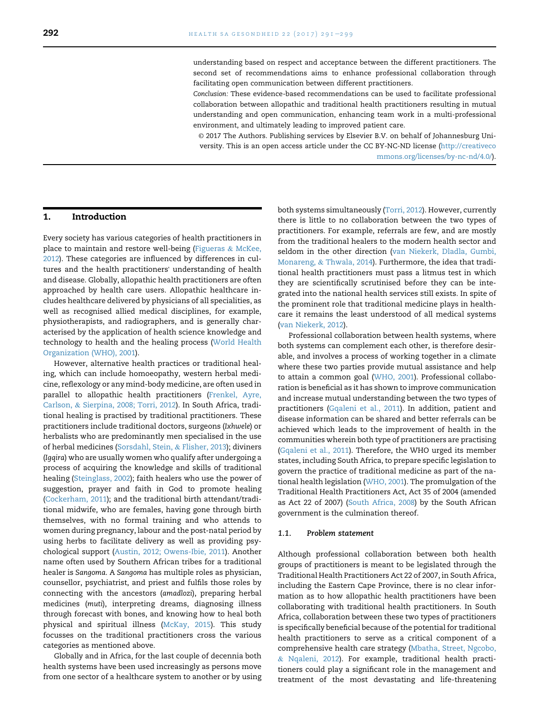understanding based on respect and acceptance between the different practitioners. The second set of recommendations aims to enhance professional collaboration through facilitating open communication between different practitioners.

Conclusion: These evidence-based recommendations can be used to facilitate professional collaboration between allopathic and traditional health practitioners resulting in mutual understanding and open communication, enhancing team work in a multi-professional environment, and ultimately leading to improved patient care.

© 2017 The Authors. Publishing services by Elsevier B.V. on behalf of Johannesburg University. This is an open access article under the CC BY-NC-ND license ([http://creativeco](http://creativecommons.org/licenses/by-nc-nd/4.0/) [mmons.org/licenses/by-nc-nd/4.0/\)](http://creativecommons.org/licenses/by-nc-nd/4.0/).

# 1. Introduction

Every society has various categories of health practitioners in place to maintain and restore well-being ([Figueras](#page-8-0) & [McKee,](#page-8-0) [2012\)](#page-8-0). These categories are influenced by differences in cultures and the health practitioners' understanding of health and disease. Globally, allopathic health practitioners are often approached by health care users. Allopathic healthcare includes healthcare delivered by physicians of all specialities, as well as recognised allied medical disciplines, for example, physiotherapists, and radiographers, and is generally characterised by the application of health science knowledge and technology to health and the healing process [\(World Health](#page-8-0) [Organization \(WHO\), 2001](#page-8-0)).

However, alternative health practices or traditional healing, which can include homoeopathy, western herbal medicine, reflexology or any mind-body medicine, are often used in parallel to allopathic health practitioners ([Frenkel, Ayre,](#page-8-0) [Carlson,](#page-8-0) & [Sierpina, 2008; Torri, 2012\)](#page-8-0). In South Africa, traditional healing is practised by traditional practitioners. These practitioners include traditional doctors, surgeons (Ixhwele) or herbalists who are predominantly men specialised in the use of herbal medicines ([Sorsdahl, Stein,](#page-8-0) & [Flisher, 2013\)](#page-8-0); diviners (Igqira) who are usually women who qualify after undergoing a process of acquiring the knowledge and skills of traditional healing [\(Steinglass, 2002\)](#page-8-0); faith healers who use the power of suggestion, prayer and faith in God to promote healing ([Cockerham, 2011\)](#page-8-0); and the traditional birth attendant/traditional midwife, who are females, having gone through birth themselves, with no formal training and who attends to women during pregnancy, labour and the post-natal period by using herbs to facilitate delivery as well as providing psychological support ([Austin, 2012; Owens-Ibie, 2011\)](#page-7-0). Another name often used by Southern African tribes for a traditional healer is Sangoma. A Sangoma has multiple roles as physician, counsellor, psychiatrist, and priest and fulfils those roles by connecting with the ancestors (amadlozi), preparing herbal medicines (muti), interpreting dreams, diagnosing illness through forecast with bones, and knowing how to heal both physical and spiritual illness ([McKay, 2015\)](#page-8-0). This study focusses on the traditional practitioners cross the various categories as mentioned above.

Globally and in Africa, for the last couple of decennia both health systems have been used increasingly as persons move from one sector of a healthcare system to another or by using both systems simultaneously ([Torri, 2012\)](#page-8-0). However, currently there is little to no collaboration between the two types of practitioners. For example, referrals are few, and are mostly from the traditional healers to the modern health sector and seldom in the other direction ([van Niekerk, Dladla, Gumbi,](#page-8-0) [Monareng,](#page-8-0) & [Thwala, 2014](#page-8-0)). Furthermore, the idea that traditional health practitioners must pass a litmus test in which they are scientifically scrutinised before they can be integrated into the national health services still exists. In spite of the prominent role that traditional medicine plays in healthcare it remains the least understood of all medical systems ([van Niekerk, 2012](#page-8-0)).

Professional collaboration between health systems, where both systems can complement each other, is therefore desirable, and involves a process of working together in a climate where these two parties provide mutual assistance and help to attain a common goal ([WHO, 2001](#page-8-0)). Professional collaboration is beneficial as it has shown to improve communication and increase mutual understanding between the two types of practitioners [\(Gqaleni et al., 2011](#page-8-0)). In addition, patient and disease information can be shared and better referrals can be achieved which leads to the improvement of health in the communities wherein both type of practitioners are practising ([Gqaleni et al., 2011](#page-8-0)). Therefore, the WHO urged its member states, including South Africa, to prepare specific legislation to govern the practice of traditional medicine as part of the national health legislation [\(WHO, 2001\)](#page-8-0). The promulgation of the Traditional Health Practitioners Act, Act 35 of 2004 (amended as Act 22 of 2007) [\(South Africa, 2008](#page-8-0)) by the South African government is the culmination thereof.

# 1.1. Problem statement

Although professional collaboration between both health groups of practitioners is meant to be legislated through the Traditional Health Practitioners Act 22 of 2007, in South Africa, including the Eastern Cape Province, there is no clear information as to how allopathic health practitioners have been collaborating with traditional health practitioners. In South Africa, collaboration between these two types of practitioners is specifically beneficial because of the potential for traditional health practitioners to serve as a critical component of a comprehensive health care strategy ([Mbatha, Street, Ngcobo,](#page-8-0) & [Nqaleni, 2012\)](#page-8-0). For example, traditional health practitioners could play a significant role in the management and treatment of the most devastating and life-threatening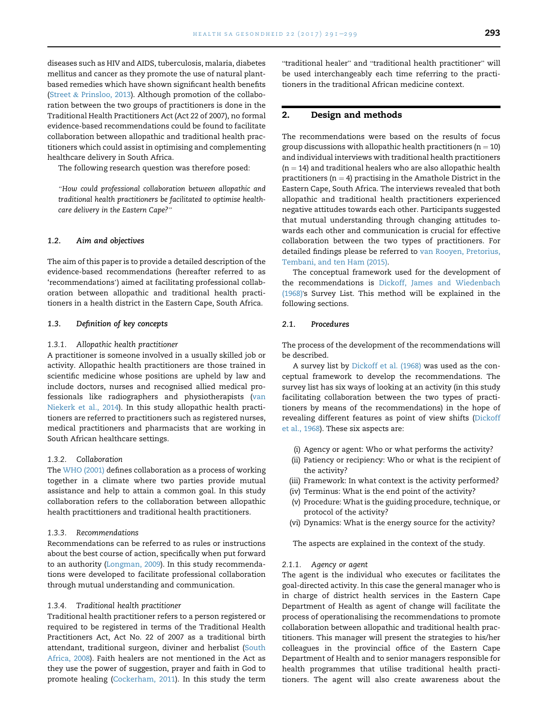"

diseases such as HIV and AIDS, tuberculosis, malaria, diabetes mellitus and cancer as they promote the use of natural plantbased remedies which have shown significant health benefits [\(Street](#page-8-0) & [Prinsloo, 2013](#page-8-0)). Although promotion of the collaboration between the two groups of practitioners is done in the Traditional Health Practitioners Act (Act 22 of 2007), no formal evidence-based recommendations could be found to facilitate collaboration between allopathic and traditional health practitioners which could assist in optimising and complementing healthcare delivery in South Africa.

The following research question was therefore posed: "

How could professional collaboration between allopathic and traditional health practitioners be facilitated to optimise healthcare delivery in the Eastern Cape?"

# 1.2. Aim and objectives

The aim of this paper is to provide a detailed description of the evidence-based recommendations (hereafter referred to as 'recommendations') aimed at facilitating professional collaboration between allopathic and traditional health practitioners in a health district in the Eastern Cape, South Africa.

#### 1.3. Definition of key concepts

#### 1.3.1. Allopathic health practitioner

A practitioner is someone involved in a usually skilled job or activity. Allopathic health practitioners are those trained in scientific medicine whose positions are upheld by law and include doctors, nurses and recognised allied medical professionals like radiographers and physiotherapists ([van](#page-8-0) [Niekerk et al., 2014\)](#page-8-0). In this study allopathic health practitioners are referred to practitioners such as registered nurses, medical practitioners and pharmacists that are working in South African healthcare settings.

#### 1.3.2. Collaboration

The [WHO \(2001\)](#page-8-0) defines collaboration as a process of working together in a climate where two parties provide mutual assistance and help to attain a common goal. In this study collaboration refers to the collaboration between allopathic health practittioners and traditional health practitioners.

#### 1.3.3. Recommendations

Recommendations can be referred to as rules or instructions about the best course of action, specifically when put forward to an authority ([Longman, 2009\)](#page-8-0). In this study recommendations were developed to facilitate professional collaboration through mutual understanding and communication.

# 1.3.4. Traditional health practitioner

Traditional health practitioner refers to a person registered or required to be registered in terms of the Traditional Health Practitioners Act, Act No. 22 of 2007 as a traditional birth attendant, traditional surgeon, diviner and herbalist [\(South](#page-8-0) [Africa, 2008](#page-8-0)). Faith healers are not mentioned in the Act as they use the power of suggestion, prayer and faith in God to promote healing ([Cockerham, 2011\)](#page-8-0). In this study the term "traditional healer" and "traditional health practitioner" will be used interchangeably each time referring to the practitioners in the traditional African medicine context.

# 2. Design and methods

The recommendations were based on the results of focus group discussions with allopathic health practitioners ( $n = 10$ ) and individual interviews with traditional health practitioners  $(n = 14)$  and traditional healers who are also allopathic health practitioners ( $n = 4$ ) practising in the Amathole District in the Eastern Cape, South Africa. The interviews revealed that both allopathic and traditional health practitioners experienced negative attitudes towards each other. Participants suggested that mutual understanding through changing attitudes towards each other and communication is crucial for effective collaboration between the two types of practitioners. For detailed findings please be referred to [van Rooyen, Pretorius,](#page-8-0) [Tembani, and ten Ham \(2015\)](#page-8-0).

The conceptual framework used for the development of the recommendations is [Dickoff, James and Wiedenbach](#page-8-0) [\(1968\)](#page-8-0)'s Survey List. This method will be explained in the following sections.

# 2.1. Procedures

The process of the development of the recommendations will be described.

A survey list by [Dickoff et al. \(1968\)](#page-8-0) was used as the conceptual framework to develop the recommendations. The survey list has six ways of looking at an activity (in this study facilitating collaboration between the two types of practitioners by means of the recommendations) in the hope of revealing different features as point of view shifts ([Dickoff](#page-8-0) [et al., 1968](#page-8-0)). These six aspects are:

- (i) Agency or agent: Who or what performs the activity?
- (ii) Patiency or recipiency: Who or what is the recipient of the activity?
- (iii) Framework: In what context is the activity performed?
- (iv) Terminus: What is the end point of the activity?
- (v) Procedure: What is the guiding procedure, technique, or protocol of the activity?
- (vi) Dynamics: What is the energy source for the activity?

The aspects are explained in the context of the study.

# 2.1.1. Agency or agent

The agent is the individual who executes or facilitates the goal-directed activity. In this case the general manager who is in charge of district health services in the Eastern Cape Department of Health as agent of change will facilitate the process of operationalising the recommendations to promote collaboration between allopathic and traditional health practitioners. This manager will present the strategies to his/her colleagues in the provincial office of the Eastern Cape Department of Health and to senior managers responsible for health programmes that utilise traditional health practitioners. The agent will also create awareness about the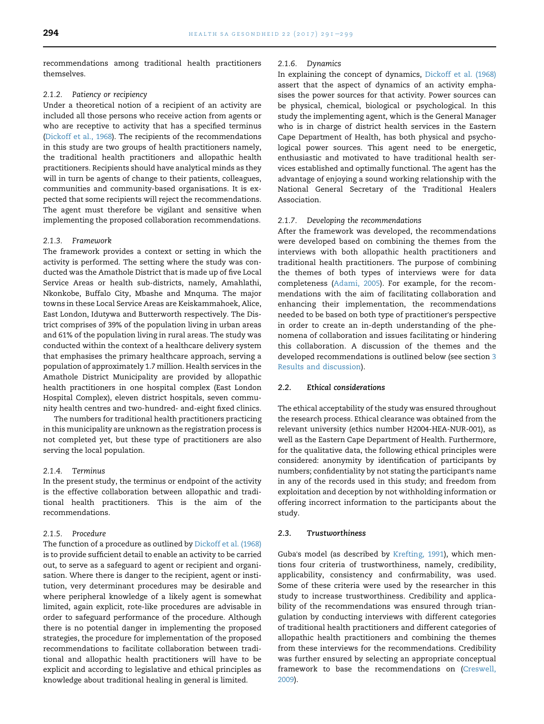recommendations among traditional health practitioners themselves.

#### 2.1.2. Patiency or recipiency

Under a theoretical notion of a recipient of an activity are included all those persons who receive action from agents or who are receptive to activity that has a specified terminus ([Dickoff et al., 1968\)](#page-8-0). The recipients of the recommendations in this study are two groups of health practitioners namely, the traditional health practitioners and allopathic health practitioners. Recipients should have analytical minds as they will in turn be agents of change to their patients, colleagues, communities and community-based organisations. It is expected that some recipients will reject the recommendations. The agent must therefore be vigilant and sensitive when implementing the proposed collaboration recommendations.

# 2.1.3. Framework

The framework provides a context or setting in which the activity is performed. The setting where the study was conducted was the Amathole District that is made up of five Local Service Areas or health sub-districts, namely, Amahlathi, Nkonkobe, Buffalo City, Mbashe and Mnquma. The major towns in these Local Service Areas are Keiskammahoek, Alice, East London, Idutywa and Butterworth respectively. The District comprises of 39% of the population living in urban areas and 61% of the population living in rural areas. The study was conducted within the context of a healthcare delivery system that emphasises the primary healthcare approach, serving a population of approximately 1.7 million. Health services in the Amathole District Municipality are provided by allopathic health practitioners in one hospital complex (East London Hospital Complex), eleven district hospitals, seven community health centres and two-hundred- and-eight fixed clinics.

The numbers for traditional health practitioners practicing in this municipality are unknown as the registration process is not completed yet, but these type of practitioners are also serving the local population.

# 2.1.4. Terminus

In the present study, the terminus or endpoint of the activity is the effective collaboration between allopathic and traditional health practitioners. This is the aim of the recommendations.

# 2.1.5. Procedure

The function of a procedure as outlined by [Dickoff et al. \(1968\)](#page-8-0) is to provide sufficient detail to enable an activity to be carried out, to serve as a safeguard to agent or recipient and organisation. Where there is danger to the recipient, agent or institution, very determinant procedures may be desirable and where peripheral knowledge of a likely agent is somewhat limited, again explicit, rote-like procedures are advisable in order to safeguard performance of the procedure. Although there is no potential danger in implementing the proposed strategies, the procedure for implementation of the proposed recommendations to facilitate collaboration between traditional and allopathic health practitioners will have to be explicit and according to legislative and ethical principles as knowledge about traditional healing in general is limited.

#### 2.1.6. Dynamics

In explaining the concept of dynamics, [Dickoff et al. \(1968\)](#page-8-0) assert that the aspect of dynamics of an activity emphasises the power sources for that activity. Power sources can be physical, chemical, biological or psychological. In this study the implementing agent, which is the General Manager who is in charge of district health services in the Eastern Cape Department of Health, has both physical and psychological power sources. This agent need to be energetic, enthusiastic and motivated to have traditional health services established and optimally functional. The agent has the advantage of enjoying a sound working relationship with the National General Secretary of the Traditional Healers Association.

# 2.1.7. Developing the recommendations

After the framework was developed, the recommendations were developed based on combining the themes from the interviews with both allopathic health practitioners and traditional health practitioners. The purpose of combining the themes of both types of interviews were for data completeness ([Adami, 2005](#page-7-0)). For example, for the recommendations with the aim of facilitating collaboration and enhancing their implementation, the recommendations needed to be based on both type of practitioner's perspective in order to create an in-depth understanding of the phenomena of collaboration and issues facilitating or hindering this collaboration. A discussion of the themes and the developed recommendations is outlined below (see section [3](#page-4-0) [Results and discussion](#page-4-0)).

#### 2.2. Ethical considerations

The ethical acceptability of the study was ensured throughout the research process. Ethical clearance was obtained from the relevant university (ethics number H2004-HEA-NUR-001), as well as the Eastern Cape Department of Health. Furthermore, for the qualitative data, the following ethical principles were considered: anonymity by identification of participants by numbers; confidentiality by not stating the participant's name in any of the records used in this study; and freedom from exploitation and deception by not withholding information or offering incorrect information to the participants about the study.

# 2.3. Trustworthiness

Guba's model (as described by [Krefting, 1991](#page-8-0)), which mentions four criteria of trustworthiness, namely, credibility, applicability, consistency and confirmability, was used. Some of these criteria were used by the researcher in this study to increase trustworthiness. Credibility and applicability of the recommendations was ensured through triangulation by conducting interviews with different categories of traditional health practitioners and different categories of allopathic health practitioners and combining the themes from these interviews for the recommendations. Credibility was further ensured by selecting an appropriate conceptual framework to base the recommendations on [\(Creswell,](#page-8-0) [2009](#page-8-0)).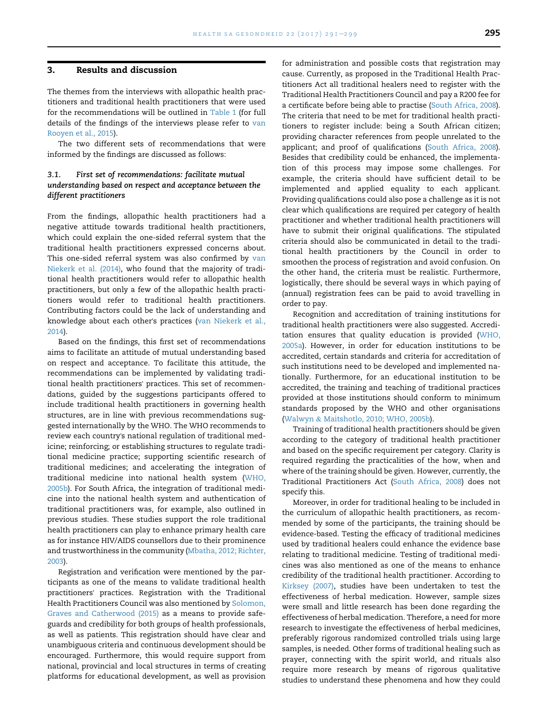# <span id="page-4-0"></span>3. Results and discussion

The themes from the interviews with allopathic health practitioners and traditional health practitioners that were used for the recommendations will be outlined in [Table 1](#page-5-0) (for full details of the findings of the interviews please refer to [van](#page-8-0) [Rooyen et al., 2015](#page-8-0)).

The two different sets of recommendations that were informed by the findings are discussed as follows:

# 3.1. First set of recommendations: facilitate mutual understanding based on respect and acceptance between the different practitioners

From the findings, allopathic health practitioners had a negative attitude towards traditional health practitioners, which could explain the one-sided referral system that the traditional health practitioners expressed concerns about. This one-sided referral system was also confirmed by [van](#page-8-0) [Niekerk et al. \(2014\)](#page-8-0), who found that the majority of traditional health practitioners would refer to allopathic health practitioners, but only a few of the allopathic health practitioners would refer to traditional health practitioners. Contributing factors could be the lack of understanding and knowledge about each other's practices [\(van Niekerk et al.,](#page-8-0) [2014](#page-8-0)).

Based on the findings, this first set of recommendations aims to facilitate an attitude of mutual understanding based on respect and acceptance. To facilitate this attitude, the recommendations can be implemented by validating traditional health practitioners' practices. This set of recommendations, guided by the suggestions participants offered to include traditional health practitioners in governing health structures, are in line with previous recommendations suggested internationally by the WHO. The WHO recommends to review each country's national regulation of traditional medicine; reinforcing; or establishing structures to regulate traditional medicine practice; supporting scientific research of traditional medicines; and accelerating the integration of traditional medicine into national health system ([WHO,](#page-8-0) [2005b](#page-8-0)). For South Africa, the integration of traditional medicine into the national health system and authentication of traditional practitioners was, for example, also outlined in previous studies. These studies support the role traditional health practitioners can play to enhance primary health care as for instance HIV/AIDS counsellors due to their prominence and trustworthiness in the community ([Mbatha, 2012; Richter,](#page-8-0) [2003](#page-8-0)).

Registration and verification were mentioned by the participants as one of the means to validate traditional health practitioners' practices. Registration with the Traditional Health Practitioners Council was also mentioned by [Solomon,](#page-8-0) [Graves and Catherwood \(2015\)](#page-8-0) as a means to provide safeguards and credibility for both groups of health professionals, as well as patients. This registration should have clear and unambiguous criteria and continuous development should be encouraged. Furthermore, this would require support from national, provincial and local structures in terms of creating platforms for educational development, as well as provision

for administration and possible costs that registration may cause. Currently, as proposed in the Traditional Health Practitioners Act all traditional healers need to register with the Traditional Health Practitioners Council and pay a R200 fee for a certificate before being able to practise [\(South Africa, 2008](#page-8-0)). The criteria that need to be met for traditional health practitioners to register include: being a South African citizen; providing character references from people unrelated to the applicant; and proof of qualifications [\(South Africa, 2008](#page-8-0)). Besides that credibility could be enhanced, the implementation of this process may impose some challenges. For example, the criteria should have sufficient detail to be implemented and applied equality to each applicant. Providing qualifications could also pose a challenge as it is not clear which qualifications are required per category of health practitioner and whether traditional health practitioners will have to submit their original qualifications. The stipulated criteria should also be communicated in detail to the traditional health practitioners by the Council in order to smoothen the process of registration and avoid confusion. On the other hand, the criteria must be realistic. Furthermore, logistically, there should be several ways in which paying of (annual) registration fees can be paid to avoid travelling in order to pay.

Recognition and accreditation of training institutions for traditional health practitioners were also suggested. Accreditation ensures that quality education is provided ([WHO,](#page-8-0) [2005a](#page-8-0)). However, in order for education institutions to be accredited, certain standards and criteria for accreditation of such institutions need to be developed and implemented nationally. Furthermore, for an educational institution to be accredited, the training and teaching of traditional practices provided at those institutions should conform to minimum standards proposed by the WHO and other organisations [\(Walwyn](#page-8-0) & [Maitshotlo, 2010; WHO, 2005b\)](#page-8-0).

Training of traditional health practitioners should be given according to the category of traditional health practitioner and based on the specific requirement per category. Clarity is required regarding the practicalities of the how, when and where of the training should be given. However, currently, the Traditional Practitioners Act ([South Africa, 2008\)](#page-8-0) does not specify this.

Moreover, in order for traditional healing to be included in the curriculum of allopathic health practitioners, as recommended by some of the participants, the training should be evidence-based. Testing the efficacy of traditional medicines used by traditional healers could enhance the evidence base relating to traditional medicine. Testing of traditional medicines was also mentioned as one of the means to enhance credibility of the traditional health practitioner. According to [Kirksey \(2007\)](#page-8-0), studies have been undertaken to test the effectiveness of herbal medication. However, sample sizes were small and little research has been done regarding the effectiveness of herbal medication. Therefore, a need for more research to investigate the effectiveness of herbal medicines, preferably rigorous randomized controlled trials using large samples, is needed. Other forms of traditional healing such as prayer, connecting with the spirit world, and rituals also require more research by means of rigorous qualitative studies to understand these phenomena and how they could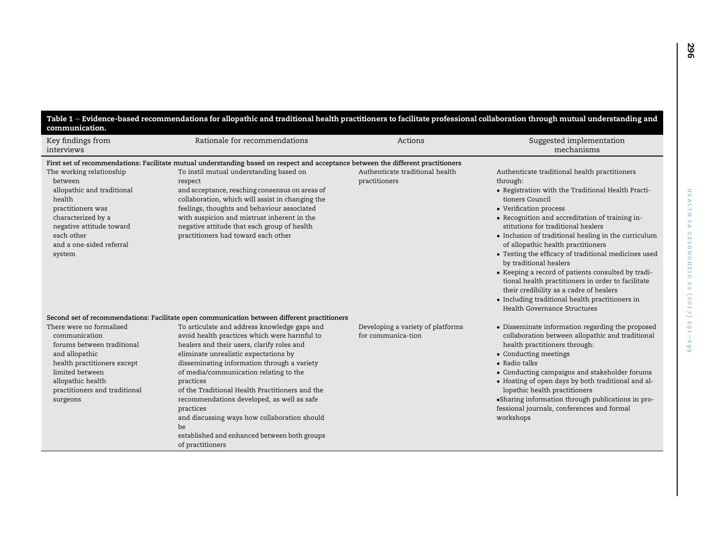<span id="page-5-0"></span>

| Table 1 – Evidence-based recommendations for allopathic and traditional health practitioners to facilitate professional collaboration through mutual understanding and<br>communication.                      |                                                                                                                                                                                                                                                                                                                                                                                                                                                                                                                                                                                                                                   |                                                         |                                                                                                                                                                                                                                                                                                                                                                                                                                                                                                                                                                                                                                                                                 |
|---------------------------------------------------------------------------------------------------------------------------------------------------------------------------------------------------------------|-----------------------------------------------------------------------------------------------------------------------------------------------------------------------------------------------------------------------------------------------------------------------------------------------------------------------------------------------------------------------------------------------------------------------------------------------------------------------------------------------------------------------------------------------------------------------------------------------------------------------------------|---------------------------------------------------------|---------------------------------------------------------------------------------------------------------------------------------------------------------------------------------------------------------------------------------------------------------------------------------------------------------------------------------------------------------------------------------------------------------------------------------------------------------------------------------------------------------------------------------------------------------------------------------------------------------------------------------------------------------------------------------|
| Key findings from<br>interviews                                                                                                                                                                               | Rationale for recommendations                                                                                                                                                                                                                                                                                                                                                                                                                                                                                                                                                                                                     | Actions                                                 | Suggested implementation<br>mechanisms                                                                                                                                                                                                                                                                                                                                                                                                                                                                                                                                                                                                                                          |
| The working relationship<br>between<br>allopathic and traditional<br>health<br>practitioners was<br>characterized by a<br>negative attitude toward<br>each other<br>and a one-sided referral<br>system        | First set of recommendations: Facilitate mutual understanding based on respect and acceptance between the different practitioners<br>To instil mutual understanding based on<br>respect<br>and acceptance, reaching consensus on areas of<br>collaboration, which will assist in changing the<br>feelings, thoughts and behaviour associated<br>with suspicion and mistrust inherent in the<br>negative attitude that each group of health<br>practitioners had toward each other                                                                                                                                                 | Authenticate traditional health<br>practitioners        | Authenticate traditional health practitioners<br>through:<br>• Registration with the Traditional Health Practi-<br>tioners Council<br>• Verification process<br>• Recognition and accreditation of training in-<br>stitutions for traditional healers<br>• Inclusion of traditional healing in the curriculum<br>of allopathic health practitioners<br>• Testing the efficacy of traditional medicines used<br>by traditional healers<br>• Keeping a record of patients consulted by tradi-<br>tional health practitioners in order to facilitate<br>their credibility as a cadre of healers<br>• Including traditional health practitioners in<br>Health Governance Structures |
| There were no formalised<br>communication<br>forums between traditional<br>and allopathic<br>health practitioners except<br>limited between<br>allopathic health<br>practitioners and traditional<br>surgeons | Second set of recommendations: Facilitate open communication between different practitioners<br>To articulate and address knowledge gaps and<br>avoid health practices which were harmful to<br>healers and their users, clarify roles and<br>eliminate unrealistic expectations by<br>disseminating information through a variety<br>of media/communication relating to the<br>practices<br>of the Traditional Health Practitioners and the<br>recommendations developed, as well as safe<br>practices<br>and discussing ways how collaboration should<br>be<br>established and enhanced between both groups<br>of practitioners | Developing a variety of platforms<br>for communica-tion | • Disseminate information regarding the proposed<br>collaboration between allopathic and traditional<br>health practitioners through:<br>• Conducting meetings<br>• Radio talks<br>• Conducting campaigns and stakeholder forums<br>• Hosting of open days by both traditional and al-<br>lopathic health practitioners<br>•Sharing information through publications in pro-<br>fessional journals, conferences and formal<br>workshops                                                                                                                                                                                                                                         |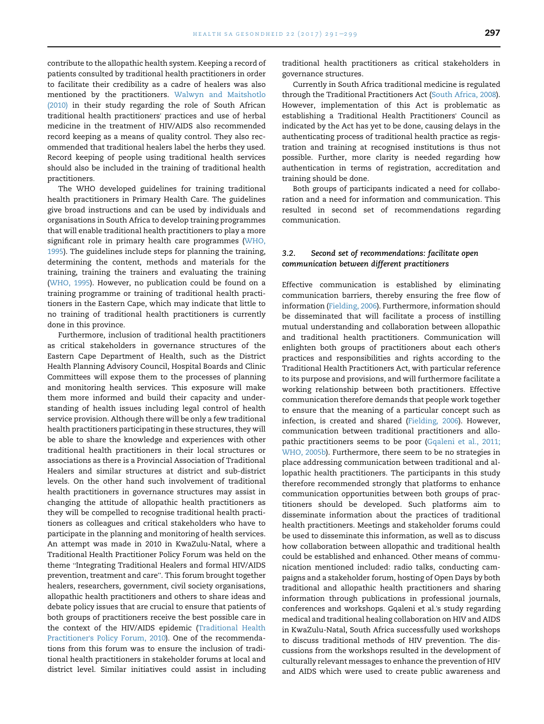contribute to the allopathic health system. Keeping a record of patients consulted by traditional health practitioners in order to facilitate their credibility as a cadre of healers was also mentioned by the practitioners. [Walwyn and Maitshotlo](#page-8-0) [\(2010\)](#page-8-0) in their study regarding the role of South African traditional health practitioners' practices and use of herbal medicine in the treatment of HIV/AIDS also recommended record keeping as a means of quality control. They also recommended that traditional healers label the herbs they used. Record keeping of people using traditional health services should also be included in the training of traditional health practitioners.

The WHO developed guidelines for training traditional health practitioners in Primary Health Care. The guidelines give broad instructions and can be used by individuals and organisations in South Africa to develop training programmes that will enable traditional health practitioners to play a more significant role in primary health care programmes ([WHO,](#page-8-0) [1995](#page-8-0)). The guidelines include steps for planning the training, determining the content, methods and materials for the training, training the trainers and evaluating the training [\(WHO, 1995](#page-8-0)). However, no publication could be found on a training programme or training of traditional health practitioners in the Eastern Cape, which may indicate that little to no training of traditional health practitioners is currently done in this province.

Furthermore, inclusion of traditional health practitioners as critical stakeholders in governance structures of the Eastern Cape Department of Health, such as the District Health Planning Advisory Council, Hospital Boards and Clinic Committees will expose them to the processes of planning and monitoring health services. This exposure will make them more informed and build their capacity and understanding of health issues including legal control of health service provision. Although there will be only a few traditional health practitioners participating in these structures, they will be able to share the knowledge and experiences with other traditional health practitioners in their local structures or associations as there is a Provincial Association of Traditional Healers and similar structures at district and sub-district levels. On the other hand such involvement of traditional health practitioners in governance structures may assist in changing the attitude of allopathic health practitioners as they will be compelled to recognise traditional health practitioners as colleagues and critical stakeholders who have to participate in the planning and monitoring of health services. An attempt was made in 2010 in KwaZulu-Natal, where a Traditional Health Practitioner Policy Forum was held on the theme "Integrating Traditional Healers and formal HIV/AIDS theme "Integrating Traditional Healers and formal HIV/AIDS<br>prevention, treatment and care". This forum brought together healers, researchers, government, civil society organisations, allopathic health practitioners and others to share ideas and debate policy issues that are crucial to ensure that patients of both groups of practitioners receive the best possible care in the context of the HIV/AIDS epidemic [\(Traditional Health](#page-8-0) Practitioner'[s Policy Forum, 2010](#page-8-0)). One of the recommendations from this forum was to ensure the inclusion of traditional health practitioners in stakeholder forums at local and district level. Similar initiatives could assist in including

traditional health practitioners as critical stakeholders in governance structures.

Currently in South Africa traditional medicine is regulated through the Traditional Practitioners Act ([South Africa, 2008](#page-8-0)). However, implementation of this Act is problematic as establishing a Traditional Health Practitioners' Council as indicated by the Act has yet to be done, causing delays in the authenticating process of traditional health practice as registration and training at recognised institutions is thus not possible. Further, more clarity is needed regarding how authentication in terms of registration, accreditation and training should be done.

Both groups of participants indicated a need for collaboration and a need for information and communication. This resulted in second set of recommendations regarding communication.

# 3.2. Second set of recommendations: facilitate open communication between different practitioners

Effective communication is established by eliminating communication barriers, thereby ensuring the free flow of information [\(Fielding, 2006\)](#page-8-0). Furthermore, information should be disseminated that will facilitate a process of instilling mutual understanding and collaboration between allopathic and traditional health practitioners. Communication will enlighten both groups of practitioners about each other's practices and responsibilities and rights according to the Traditional Health Practitioners Act, with particular reference to its purpose and provisions, and will furthermore facilitate a working relationship between both practitioners. Effective communication therefore demands that people work together to ensure that the meaning of a particular concept such as infection, is created and shared [\(Fielding, 2006](#page-8-0)). However, communication between traditional practitioners and allopathic practitioners seems to be poor ([Gqaleni et al., 2011;](#page-8-0) [WHO, 2005b\)](#page-8-0). Furthermore, there seem to be no strategies in place addressing communication between traditional and allopathic health practitioners. The participants in this study therefore recommended strongly that platforms to enhance communication opportunities between both groups of practitioners should be developed. Such platforms aim to disseminate information about the practices of traditional health practitioners. Meetings and stakeholder forums could be used to disseminate this information, as well as to discuss how collaboration between allopathic and traditional health could be established and enhanced. Other means of communication mentioned included: radio talks, conducting campaigns and a stakeholder forum, hosting of Open Days by both traditional and allopathic health practitioners and sharing information through publications in professional journals, conferences and workshops. Gqaleni et al.'s study regarding medical and traditional healing collaboration on HIV and AIDS in KwaZulu-Natal, South Africa successfully used workshops to discuss traditional methods of HIV prevention. The discussions from the workshops resulted in the development of culturally relevant messages to enhance the prevention of HIV and AIDS which were used to create public awareness and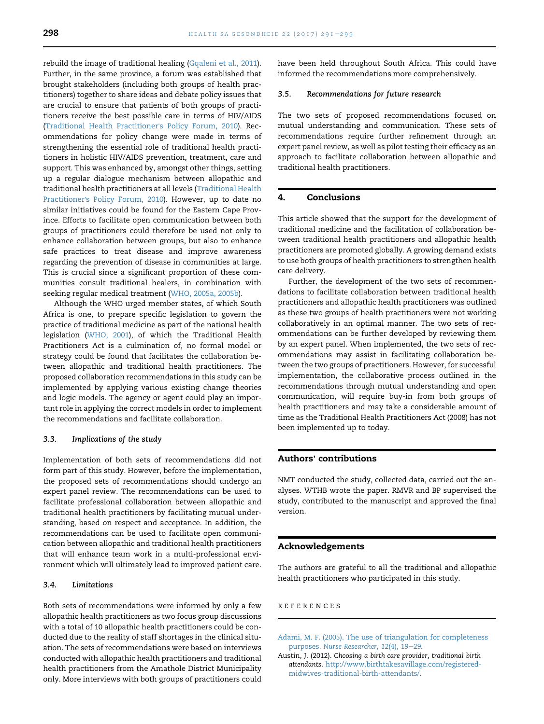<span id="page-7-0"></span>rebuild the image of traditional healing [\(Gqaleni et al., 2011\)](#page-8-0). Further, in the same province, a forum was established that brought stakeholders (including both groups of health practitioners) together to share ideas and debate policy issues that are crucial to ensure that patients of both groups of practitioners receive the best possible care in terms of HIV/AIDS ([Traditional Health Practitioner](#page-8-0)'s Policy Forum, 2010). Recommendations for policy change were made in terms of strengthening the essential role of traditional health practitioners in holistic HIV/AIDS prevention, treatment, care and support. This was enhanced by, amongst other things, setting up a regular dialogue mechanism between allopathic and traditional health practitioners at all levels [\(Traditional Health](#page-8-0) Practitioner'[s Policy Forum, 2010](#page-8-0)). However, up to date no similar initiatives could be found for the Eastern Cape Province. Efforts to facilitate open communication between both groups of practitioners could therefore be used not only to enhance collaboration between groups, but also to enhance safe practices to treat disease and improve awareness regarding the prevention of disease in communities at large. This is crucial since a significant proportion of these communities consult traditional healers, in combination with seeking regular medical treatment ([WHO, 2005a, 2005b](#page-8-0)).

Although the WHO urged member states, of which South Africa is one, to prepare specific legislation to govern the practice of traditional medicine as part of the national health legislation [\(WHO, 2001](#page-8-0)), of which the Traditional Health Practitioners Act is a culmination of, no formal model or strategy could be found that facilitates the collaboration between allopathic and traditional health practitioners. The proposed collaboration recommendations in this study can be implemented by applying various existing change theories and logic models. The agency or agent could play an important role in applying the correct models in order to implement the recommendations and facilitate collaboration.

# 3.3. Implications of the study

Implementation of both sets of recommendations did not form part of this study. However, before the implementation, the proposed sets of recommendations should undergo an expert panel review. The recommendations can be used to facilitate professional collaboration between allopathic and traditional health practitioners by facilitating mutual understanding, based on respect and acceptance. In addition, the recommendations can be used to facilitate open communication between allopathic and traditional health practitioners that will enhance team work in a multi-professional environment which will ultimately lead to improved patient care.

# 3.4. Limitations

Both sets of recommendations were informed by only a few allopathic health practitioners as two focus group discussions with a total of 10 allopathic health practitioners could be conducted due to the reality of staff shortages in the clinical situation. The sets of recommendations were based on interviews conducted with allopathic health practitioners and traditional health practitioners from the Amathole District Municipality only. More interviews with both groups of practitioners could have been held throughout South Africa. This could have informed the recommendations more comprehensively.

## 3.5. Recommendations for future research

The two sets of proposed recommendations focused on mutual understanding and communication. These sets of recommendations require further refinement through an expert panel review, as well as pilot testing their efficacy as an approach to facilitate collaboration between allopathic and traditional health practitioners.

# 4. Conclusions

This article showed that the support for the development of traditional medicine and the facilitation of collaboration between traditional health practitioners and allopathic health practitioners are promoted globally. A growing demand exists to use both groups of health practitioners to strengthen health care delivery.

Further, the development of the two sets of recommendations to facilitate collaboration between traditional health practitioners and allopathic health practitioners was outlined as these two groups of health practitioners were not working collaboratively in an optimal manner. The two sets of recommendations can be further developed by reviewing them by an expert panel. When implemented, the two sets of recommendations may assist in facilitating collaboration between the two groups of practitioners. However, for successful implementation, the collaborative process outlined in the recommendations through mutual understanding and open communication, will require buy-in from both groups of health practitioners and may take a considerable amount of time as the Traditional Health Practitioners Act (2008) has not been implemented up to today.

# Authors' contributions

NMT conducted the study, collected data, carried out the analyses. WTHB wrote the paper. RMVR and BP supervised the study, contributed to the manuscript and approved the final version.

#### Acknowledgements

The authors are grateful to all the traditional and allopathic health practitioners who participated in this study.

# references

[Adami, M. F. \(2005\). The use of triangulation for completeness](http://refhub.elsevier.com/S1025-9848(17)30076-5/sref1) purposes. [Nurse Researcher, 12](http://refhub.elsevier.com/S1025-9848(17)30076-5/sref1)(4), 19-[29](http://refhub.elsevier.com/S1025-9848(17)30076-5/sref1).

Austin, J. (2012). Choosing a birth care provider, traditional birth attendants. [http://www.birthtakesavillage.com/registered](http://www.birthtakesavillage.com/registered-midwives-traditional-birth-attendants/)[midwives-traditional-birth-attendants/.](http://www.birthtakesavillage.com/registered-midwives-traditional-birth-attendants/)